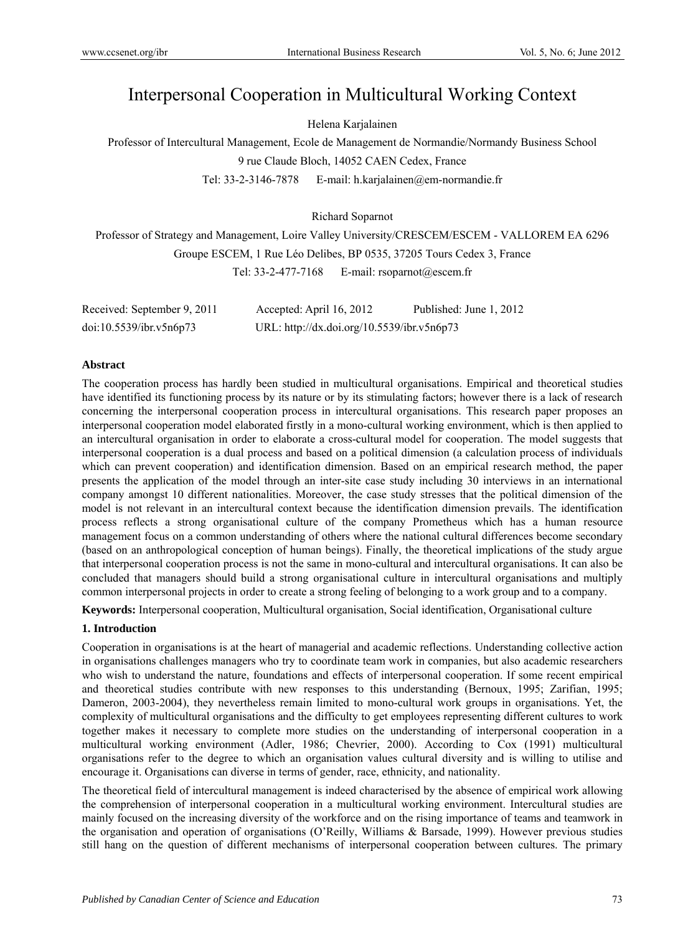# Interpersonal Cooperation in Multicultural Working Context

Helena Karjalainen

Professor of Intercultural Management, Ecole de Management de Normandie/Normandy Business School 9 rue Claude Bloch, 14052 CAEN Cedex, France

Tel: 33-2-3146-7878 E-mail: h.karjalainen@em-normandie.fr

Richard Soparnot

Professor of Strategy and Management, Loire Valley University/CRESCEM/ESCEM - VALLOREM EA 6296 Groupe ESCEM, 1 Rue Léo Delibes, BP 0535, 37205 Tours Cedex 3, France Tel: 33-2-477-7168 E-mail: rsoparnot@escem.fr

| Received: September 9, 2011 | Accepted: April 16, 2012                   | Published: June 1, 2012 |
|-----------------------------|--------------------------------------------|-------------------------|
| doi:10.5539/ibr.v5n6p73     | URL: http://dx.doi.org/10.5539/ibr.v5n6p73 |                         |

## **Abstract**

The cooperation process has hardly been studied in multicultural organisations. Empirical and theoretical studies have identified its functioning process by its nature or by its stimulating factors; however there is a lack of research concerning the interpersonal cooperation process in intercultural organisations. This research paper proposes an interpersonal cooperation model elaborated firstly in a mono-cultural working environment, which is then applied to an intercultural organisation in order to elaborate a cross-cultural model for cooperation. The model suggests that interpersonal cooperation is a dual process and based on a political dimension (a calculation process of individuals which can prevent cooperation) and identification dimension. Based on an empirical research method, the paper presents the application of the model through an inter-site case study including 30 interviews in an international company amongst 10 different nationalities. Moreover, the case study stresses that the political dimension of the model is not relevant in an intercultural context because the identification dimension prevails. The identification process reflects a strong organisational culture of the company Prometheus which has a human resource management focus on a common understanding of others where the national cultural differences become secondary (based on an anthropological conception of human beings). Finally, the theoretical implications of the study argue that interpersonal cooperation process is not the same in mono-cultural and intercultural organisations. It can also be concluded that managers should build a strong organisational culture in intercultural organisations and multiply common interpersonal projects in order to create a strong feeling of belonging to a work group and to a company.

**Keywords:** Interpersonal cooperation, Multicultural organisation, Social identification, Organisational culture

## **1. Introduction**

Cooperation in organisations is at the heart of managerial and academic reflections. Understanding collective action in organisations challenges managers who try to coordinate team work in companies, but also academic researchers who wish to understand the nature, foundations and effects of interpersonal cooperation. If some recent empirical and theoretical studies contribute with new responses to this understanding (Bernoux, 1995; Zarifian, 1995; Dameron, 2003-2004), they nevertheless remain limited to mono-cultural work groups in organisations. Yet, the complexity of multicultural organisations and the difficulty to get employees representing different cultures to work together makes it necessary to complete more studies on the understanding of interpersonal cooperation in a multicultural working environment (Adler, 1986; Chevrier, 2000). According to Cox (1991) multicultural organisations refer to the degree to which an organisation values cultural diversity and is willing to utilise and encourage it. Organisations can diverse in terms of gender, race, ethnicity, and nationality.

The theoretical field of intercultural management is indeed characterised by the absence of empirical work allowing the comprehension of interpersonal cooperation in a multicultural working environment. Intercultural studies are mainly focused on the increasing diversity of the workforce and on the rising importance of teams and teamwork in the organisation and operation of organisations (O'Reilly, Williams & Barsade, 1999). However previous studies still hang on the question of different mechanisms of interpersonal cooperation between cultures. The primary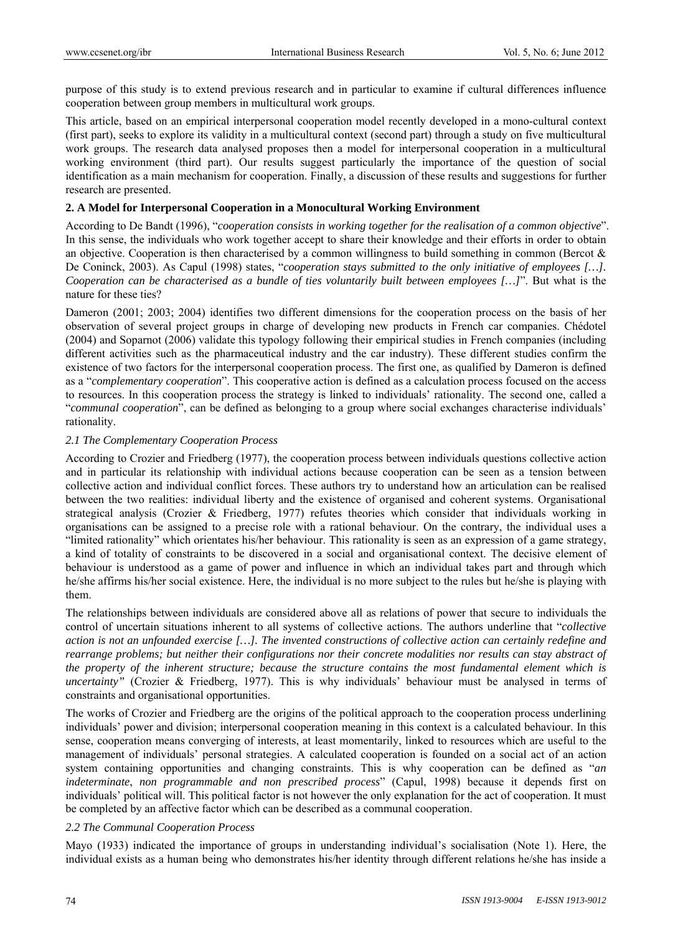purpose of this study is to extend previous research and in particular to examine if cultural differences influence cooperation between group members in multicultural work groups.

This article, based on an empirical interpersonal cooperation model recently developed in a mono-cultural context (first part), seeks to explore its validity in a multicultural context (second part) through a study on five multicultural work groups. The research data analysed proposes then a model for interpersonal cooperation in a multicultural working environment (third part). Our results suggest particularly the importance of the question of social identification as a main mechanism for cooperation. Finally, a discussion of these results and suggestions for further research are presented.

## **2. A Model for Interpersonal Cooperation in a Monocultural Working Environment**

According to De Bandt (1996), "*cooperation consists in working together for the realisation of a common objective*". In this sense, the individuals who work together accept to share their knowledge and their efforts in order to obtain an objective. Cooperation is then characterised by a common willingness to build something in common (Bercot & De Coninck, 2003). As Capul (1998) states, "*cooperation stays submitted to the only initiative of employees […]. Cooperation can be characterised as a bundle of ties voluntarily built between employees […]*". But what is the nature for these ties?

Dameron (2001; 2003; 2004) identifies two different dimensions for the cooperation process on the basis of her observation of several project groups in charge of developing new products in French car companies. Chédotel (2004) and Soparnot (2006) validate this typology following their empirical studies in French companies (including different activities such as the pharmaceutical industry and the car industry). These different studies confirm the existence of two factors for the interpersonal cooperation process. The first one, as qualified by Dameron is defined as a "*complementary cooperation*". This cooperative action is defined as a calculation process focused on the access to resources. In this cooperation process the strategy is linked to individuals' rationality. The second one, called a "*communal cooperation*", can be defined as belonging to a group where social exchanges characterise individuals' rationality.

## *2.1 The Complementary Cooperation Process*

According to Crozier and Friedberg (1977), the cooperation process between individuals questions collective action and in particular its relationship with individual actions because cooperation can be seen as a tension between collective action and individual conflict forces. These authors try to understand how an articulation can be realised between the two realities: individual liberty and the existence of organised and coherent systems. Organisational strategical analysis (Crozier & Friedberg, 1977) refutes theories which consider that individuals working in organisations can be assigned to a precise role with a rational behaviour. On the contrary, the individual uses a "limited rationality" which orientates his/her behaviour. This rationality is seen as an expression of a game strategy, a kind of totality of constraints to be discovered in a social and organisational context. The decisive element of behaviour is understood as a game of power and influence in which an individual takes part and through which he/she affirms his/her social existence. Here, the individual is no more subject to the rules but he/she is playing with them.

The relationships between individuals are considered above all as relations of power that secure to individuals the control of uncertain situations inherent to all systems of collective actions. The authors underline that "*collective action is not an unfounded exercise […]. The invented constructions of collective action can certainly redefine and rearrange problems; but neither their configurations nor their concrete modalities nor results can stay abstract of the property of the inherent structure; because the structure contains the most fundamental element which is uncertainty"* (Crozier & Friedberg, 1977). This is why individuals' behaviour must be analysed in terms of constraints and organisational opportunities.

The works of Crozier and Friedberg are the origins of the political approach to the cooperation process underlining individuals' power and division; interpersonal cooperation meaning in this context is a calculated behaviour. In this sense, cooperation means converging of interests, at least momentarily, linked to resources which are useful to the management of individuals' personal strategies. A calculated cooperation is founded on a social act of an action system containing opportunities and changing constraints. This is why cooperation can be defined as "*an indeterminate*, *non programmable and non prescribed process*" (Capul, 1998) because it depends first on individuals' political will. This political factor is not however the only explanation for the act of cooperation. It must be completed by an affective factor which can be described as a communal cooperation.

## *2.2 The Communal Cooperation Process*

Mayo (1933) indicated the importance of groups in understanding individual's socialisation (Note 1). Here, the individual exists as a human being who demonstrates his/her identity through different relations he/she has inside a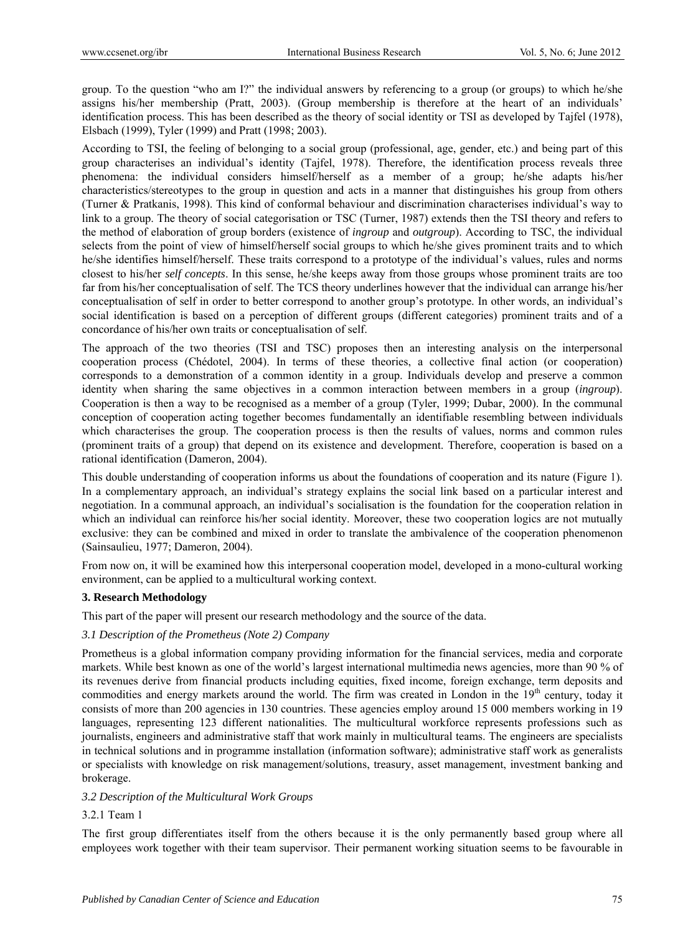group. To the question "who am I?" the individual answers by referencing to a group (or groups) to which he/she assigns his/her membership (Pratt, 2003). (Group membership is therefore at the heart of an individuals' identification process. This has been described as the theory of social identity or TSI as developed by Tajfel (1978), Elsbach (1999), Tyler (1999) and Pratt (1998; 2003).

According to TSI, the feeling of belonging to a social group (professional, age, gender, etc.) and being part of this group characterises an individual's identity (Tajfel, 1978). Therefore, the identification process reveals three phenomena: the individual considers himself/herself as a member of a group; he/she adapts his/her characteristics/stereotypes to the group in question and acts in a manner that distinguishes his group from others (Turner & Pratkanis, 1998). This kind of conformal behaviour and discrimination characterises individual's way to link to a group. The theory of social categorisation or TSC (Turner, 1987) extends then the TSI theory and refers to the method of elaboration of group borders (existence of *ingroup* and *outgroup*). According to TSC, the individual selects from the point of view of himself/herself social groups to which he/she gives prominent traits and to which he/she identifies himself/herself. These traits correspond to a prototype of the individual's values, rules and norms closest to his/her *self concepts*. In this sense, he/she keeps away from those groups whose prominent traits are too far from his/her conceptualisation of self. The TCS theory underlines however that the individual can arrange his/her conceptualisation of self in order to better correspond to another group's prototype. In other words, an individual's social identification is based on a perception of different groups (different categories) prominent traits and of a concordance of his/her own traits or conceptualisation of self.

The approach of the two theories (TSI and TSC) proposes then an interesting analysis on the interpersonal cooperation process (Chédotel, 2004). In terms of these theories, a collective final action (or cooperation) corresponds to a demonstration of a common identity in a group. Individuals develop and preserve a common identity when sharing the same objectives in a common interaction between members in a group (*ingroup*). Cooperation is then a way to be recognised as a member of a group (Tyler, 1999; Dubar, 2000). In the communal conception of cooperation acting together becomes fundamentally an identifiable resembling between individuals which characterises the group. The cooperation process is then the results of values, norms and common rules (prominent traits of a group) that depend on its existence and development. Therefore, cooperation is based on a rational identification (Dameron, 2004).

This double understanding of cooperation informs us about the foundations of cooperation and its nature (Figure 1). In a complementary approach, an individual's strategy explains the social link based on a particular interest and negotiation. In a communal approach, an individual's socialisation is the foundation for the cooperation relation in which an individual can reinforce his/her social identity. Moreover, these two cooperation logics are not mutually exclusive: they can be combined and mixed in order to translate the ambivalence of the cooperation phenomenon (Sainsaulieu, 1977; Dameron, 2004).

From now on, it will be examined how this interpersonal cooperation model, developed in a mono-cultural working environment, can be applied to a multicultural working context.

## **3. Research Methodology**

This part of the paper will present our research methodology and the source of the data.

## *3.1 Description of the Prometheus (Note 2) Company*

Prometheus is a global information company providing information for the financial services, media and corporate markets. While best known as one of the world's largest international multimedia news agencies, more than 90 % of its revenues derive from financial products including equities, fixed income, foreign exchange, term deposits and commodities and energy markets around the world. The firm was created in London in the  $19<sup>th</sup>$  century, today it consists of more than 200 agencies in 130 countries. These agencies employ around 15 000 members working in 19 languages, representing 123 different nationalities. The multicultural workforce represents professions such as journalists, engineers and administrative staff that work mainly in multicultural teams. The engineers are specialists in technical solutions and in programme installation (information software); administrative staff work as generalists or specialists with knowledge on risk management/solutions, treasury, asset management, investment banking and brokerage.

## *3.2 Description of the Multicultural Work Groups*

## 3.2.1 Team 1

The first group differentiates itself from the others because it is the only permanently based group where all employees work together with their team supervisor. Their permanent working situation seems to be favourable in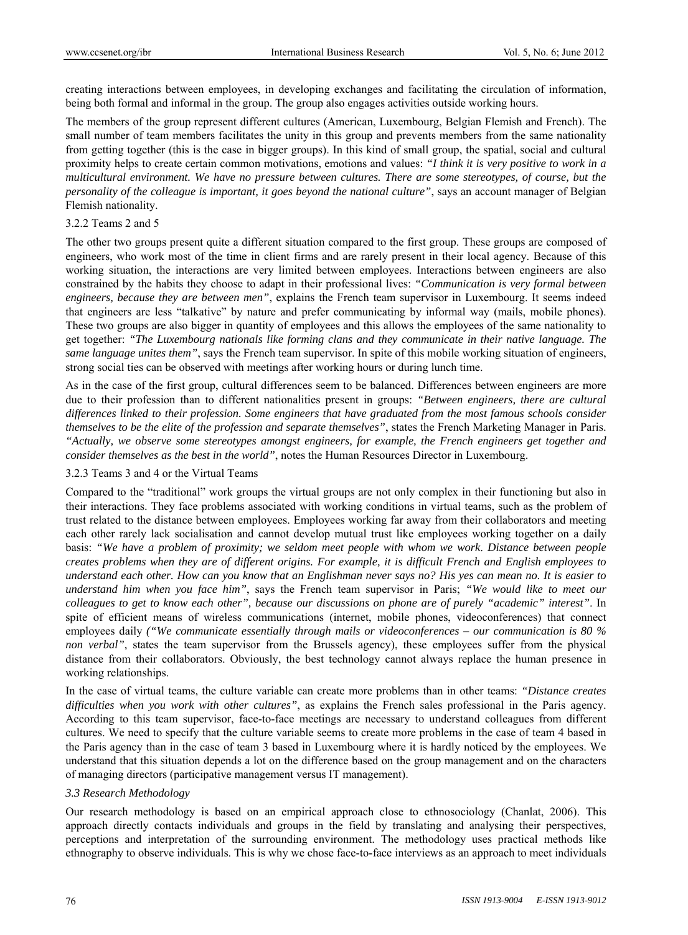creating interactions between employees, in developing exchanges and facilitating the circulation of information, being both formal and informal in the group. The group also engages activities outside working hours.

The members of the group represent different cultures (American, Luxembourg, Belgian Flemish and French). The small number of team members facilitates the unity in this group and prevents members from the same nationality from getting together (this is the case in bigger groups). In this kind of small group, the spatial, social and cultural proximity helps to create certain common motivations, emotions and values: *"I think it is very positive to work in a multicultural environment. We have no pressure between cultures. There are some stereotypes, of course, but the personality of the colleague is important, it goes beyond the national culture"*, says an account manager of Belgian Flemish nationality.

#### 3.2.2 Teams 2 and 5

The other two groups present quite a different situation compared to the first group. These groups are composed of engineers, who work most of the time in client firms and are rarely present in their local agency. Because of this working situation, the interactions are very limited between employees. Interactions between engineers are also constrained by the habits they choose to adapt in their professional lives: *"Communication is very formal between engineers, because they are between men"*, explains the French team supervisor in Luxembourg. It seems indeed that engineers are less "talkative" by nature and prefer communicating by informal way (mails, mobile phones). These two groups are also bigger in quantity of employees and this allows the employees of the same nationality to get together: *"The Luxembourg nationals like forming clans and they communicate in their native language. The same language unites them"*, says the French team supervisor. In spite of this mobile working situation of engineers, strong social ties can be observed with meetings after working hours or during lunch time.

As in the case of the first group, cultural differences seem to be balanced. Differences between engineers are more due to their profession than to different nationalities present in groups: *"Between engineers, there are cultural differences linked to their profession. Some engineers that have graduated from the most famous schools consider themselves to be the elite of the profession and separate themselves"*, states the French Marketing Manager in Paris. *"Actually, we observe some stereotypes amongst engineers, for example, the French engineers get together and consider themselves as the best in the world"*, notes the Human Resources Director in Luxembourg.

## 3.2.3 Teams 3 and 4 or the Virtual Teams

Compared to the "traditional" work groups the virtual groups are not only complex in their functioning but also in their interactions. They face problems associated with working conditions in virtual teams, such as the problem of trust related to the distance between employees. Employees working far away from their collaborators and meeting each other rarely lack socialisation and cannot develop mutual trust like employees working together on a daily basis: *"We have a problem of proximity; we seldom meet people with whom we work*. *Distance between people creates problems when they are of different origins. For example, it is difficult French and English employees to understand each other. How can you know that an Englishman never says no? His yes can mean no. It is easier to understand him when you face him"*, says the French team supervisor in Paris; *"We would like to meet our colleagues to get to know each other", because our discussions on phone are of purely "academic" interest"*. In spite of efficient means of wireless communications (internet, mobile phones, videoconferences) that connect employees daily *("We communicate essentially through mails or videoconferences – our communication is 80 % non verbal"*, states the team supervisor from the Brussels agency), these employees suffer from the physical distance from their collaborators. Obviously, the best technology cannot always replace the human presence in working relationships.

In the case of virtual teams, the culture variable can create more problems than in other teams: *"Distance creates difficulties when you work with other cultures"*, as explains the French sales professional in the Paris agency. According to this team supervisor, face-to-face meetings are necessary to understand colleagues from different cultures. We need to specify that the culture variable seems to create more problems in the case of team 4 based in the Paris agency than in the case of team 3 based in Luxembourg where it is hardly noticed by the employees. We understand that this situation depends a lot on the difference based on the group management and on the characters of managing directors (participative management versus IT management).

## *3.3 Research Methodology*

Our research methodology is based on an empirical approach close to ethnosociology (Chanlat, 2006). This approach directly contacts individuals and groups in the field by translating and analysing their perspectives, perceptions and interpretation of the surrounding environment. The methodology uses practical methods like ethnography to observe individuals. This is why we chose face-to-face interviews as an approach to meet individuals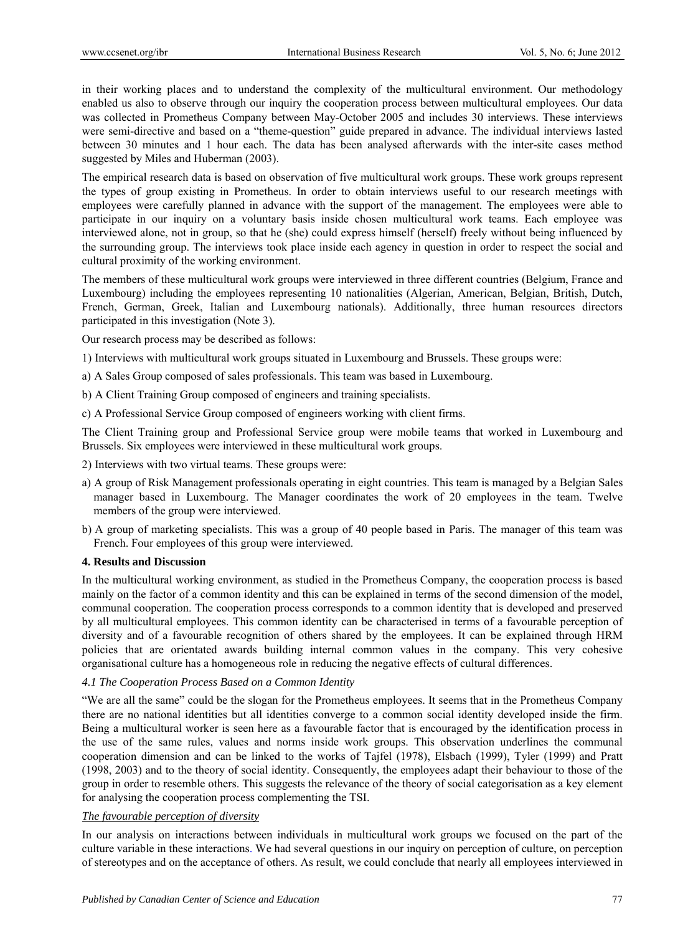in their working places and to understand the complexity of the multicultural environment. Our methodology enabled us also to observe through our inquiry the cooperation process between multicultural employees. Our data was collected in Prometheus Company between May-October 2005 and includes 30 interviews. These interviews were semi-directive and based on a "theme-question" guide prepared in advance. The individual interviews lasted between 30 minutes and 1 hour each. The data has been analysed afterwards with the inter-site cases method suggested by Miles and Huberman (2003).

The empirical research data is based on observation of five multicultural work groups. These work groups represent the types of group existing in Prometheus. In order to obtain interviews useful to our research meetings with employees were carefully planned in advance with the support of the management. The employees were able to participate in our inquiry on a voluntary basis inside chosen multicultural work teams. Each employee was interviewed alone, not in group, so that he (she) could express himself (herself) freely without being influenced by the surrounding group. The interviews took place inside each agency in question in order to respect the social and cultural proximity of the working environment.

The members of these multicultural work groups were interviewed in three different countries (Belgium, France and Luxembourg) including the employees representing 10 nationalities (Algerian, American, Belgian, British, Dutch, French, German, Greek, Italian and Luxembourg nationals). Additionally, three human resources directors participated in this investigation (Note 3).

Our research process may be described as follows:

1) Interviews with multicultural work groups situated in Luxembourg and Brussels. These groups were:

- a) A Sales Group composed of sales professionals. This team was based in Luxembourg.
- b) A Client Training Group composed of engineers and training specialists.

c) A Professional Service Group composed of engineers working with client firms.

The Client Training group and Professional Service group were mobile teams that worked in Luxembourg and Brussels. Six employees were interviewed in these multicultural work groups.

- 2) Interviews with two virtual teams. These groups were:
- a) A group of Risk Management professionals operating in eight countries. This team is managed by a Belgian Sales manager based in Luxembourg. The Manager coordinates the work of 20 employees in the team. Twelve members of the group were interviewed.
- b) A group of marketing specialists. This was a group of 40 people based in Paris. The manager of this team was French. Four employees of this group were interviewed.

#### **4. Results and Discussion**

In the multicultural working environment, as studied in the Prometheus Company, the cooperation process is based mainly on the factor of a common identity and this can be explained in terms of the second dimension of the model, communal cooperation. The cooperation process corresponds to a common identity that is developed and preserved by all multicultural employees. This common identity can be characterised in terms of a favourable perception of diversity and of a favourable recognition of others shared by the employees. It can be explained through HRM policies that are orientated awards building internal common values in the company. This very cohesive organisational culture has a homogeneous role in reducing the negative effects of cultural differences.

## *4.1 The Cooperation Process Based on a Common Identity*

"We are all the same" could be the slogan for the Prometheus employees. It seems that in the Prometheus Company there are no national identities but all identities converge to a common social identity developed inside the firm. Being a multicultural worker is seen here as a favourable factor that is encouraged by the identification process in the use of the same rules, values and norms inside work groups. This observation underlines the communal cooperation dimension and can be linked to the works of Tajfel (1978), Elsbach (1999), Tyler (1999) and Pratt (1998, 2003) and to the theory of social identity. Consequently, the employees adapt their behaviour to those of the group in order to resemble others. This suggests the relevance of the theory of social categorisation as a key element for analysing the cooperation process complementing the TSI.

## *The favourable perception of diversity*

In our analysis on interactions between individuals in multicultural work groups we focused on the part of the culture variable in these interactions. We had several questions in our inquiry on perception of culture, on perception of stereotypes and on the acceptance of others. As result, we could conclude that nearly all employees interviewed in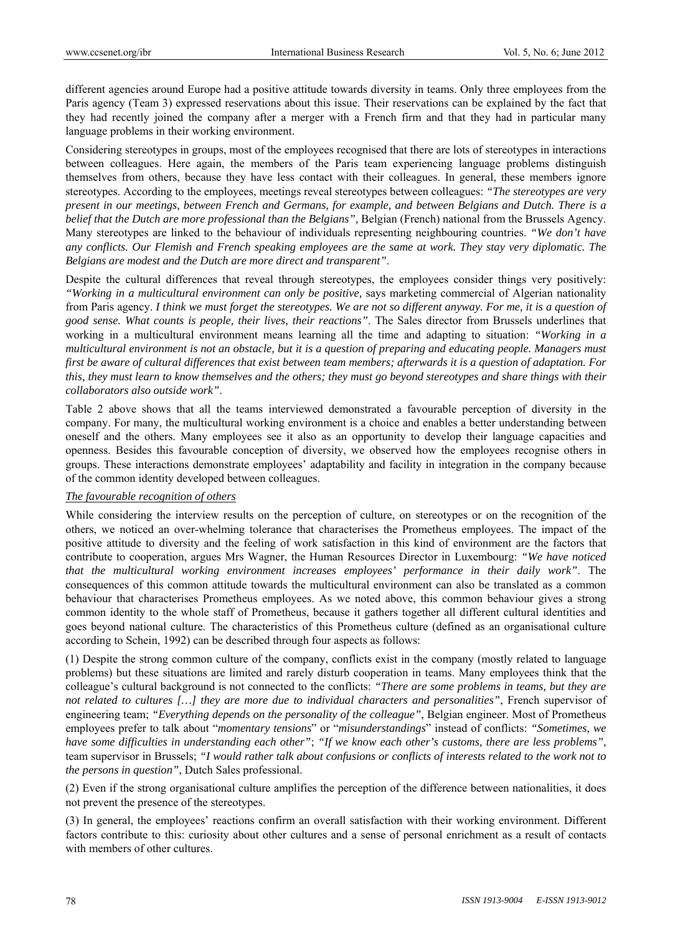different agencies around Europe had a positive attitude towards diversity in teams. Only three employees from the Paris agency (Team 3) expressed reservations about this issue. Their reservations can be explained by the fact that they had recently joined the company after a merger with a French firm and that they had in particular many language problems in their working environment.

Considering stereotypes in groups, most of the employees recognised that there are lots of stereotypes in interactions between colleagues. Here again, the members of the Paris team experiencing language problems distinguish themselves from others, because they have less contact with their colleagues. In general, these members ignore stereotypes. According to the employees, meetings reveal stereotypes between colleagues: *"The stereotypes are very present in our meetings, between French and Germans, for example, and between Belgians and Dutch. There is a belief that the Dutch are more professional than the Belgians",* Belgian (French) national from the Brussels Agency. Many stereotypes are linked to the behaviour of individuals representing neighbouring countries. *"We don't have any conflicts. Our Flemish and French speaking employees are the same at work. They stay very diplomatic. The Belgians are modest and the Dutch are more direct and transparent"*.

Despite the cultural differences that reveal through stereotypes, the employees consider things very positively: *"Working in a multicultural environment can only be positive,* says marketing commercial of Algerian nationality from Paris agency. *I think we must forget the stereotypes. We are not so different anyway. For me, it is a question of good sense. What counts is people, their lives, their reactions"*. The Sales director from Brussels underlines that working in a multicultural environment means learning all the time and adapting to situation: *"Working in a multicultural environment is not an obstacle, but it is a question of preparing and educating people. Managers must first be aware of cultural differences that exist between team members; afterwards it is a question of adaptation. For this, they must learn to know themselves and the others; they must go beyond stereotypes and share things with their collaborators also outside work"*.

Table 2 above shows that all the teams interviewed demonstrated a favourable perception of diversity in the company. For many, the multicultural working environment is a choice and enables a better understanding between oneself and the others. Many employees see it also as an opportunity to develop their language capacities and openness. Besides this favourable conception of diversity, we observed how the employees recognise others in groups. These interactions demonstrate employees' adaptability and facility in integration in the company because of the common identity developed between colleagues.

#### *The favourable recognition of others*

While considering the interview results on the perception of culture, on stereotypes or on the recognition of the others, we noticed an over-whelming tolerance that characterises the Prometheus employees. The impact of the positive attitude to diversity and the feeling of work satisfaction in this kind of environment are the factors that contribute to cooperation, argues Mrs Wagner, the Human Resources Director in Luxembourg: *"We have noticed that the multicultural working environment increases employees' performance in their daily work"*. The consequences of this common attitude towards the multicultural environment can also be translated as a common behaviour that characterises Prometheus employees. As we noted above, this common behaviour gives a strong common identity to the whole staff of Prometheus, because it gathers together all different cultural identities and goes beyond national culture. The characteristics of this Prometheus culture (defined as an organisational culture according to Schein, 1992) can be described through four aspects as follows:

(1) Despite the strong common culture of the company, conflicts exist in the company (mostly related to language problems) but these situations are limited and rarely disturb cooperation in teams. Many employees think that the colleague's cultural background is not connected to the conflicts: *"There are some problems in teams, but they are not related to cultures […] they are more due to individual characters and personalities"*, French supervisor of engineering team; *"Everything depends on the personality of the colleague"*, Belgian engineer. Most of Prometheus employees prefer to talk about "*momentary tensions*" or "*misunderstandings*" instead of conflicts: *"Sometimes, we have some difficulties in understanding each other"*; *"If we know each other's customs, there are less problems"*, team supervisor in Brussels; *"I would rather talk about confusions or conflicts of interests related to the work not to the persons in question"*, Dutch Sales professional.

(2) Even if the strong organisational culture amplifies the perception of the difference between nationalities, it does not prevent the presence of the stereotypes.

(3) In general, the employees' reactions confirm an overall satisfaction with their working environment. Different factors contribute to this: curiosity about other cultures and a sense of personal enrichment as a result of contacts with members of other cultures.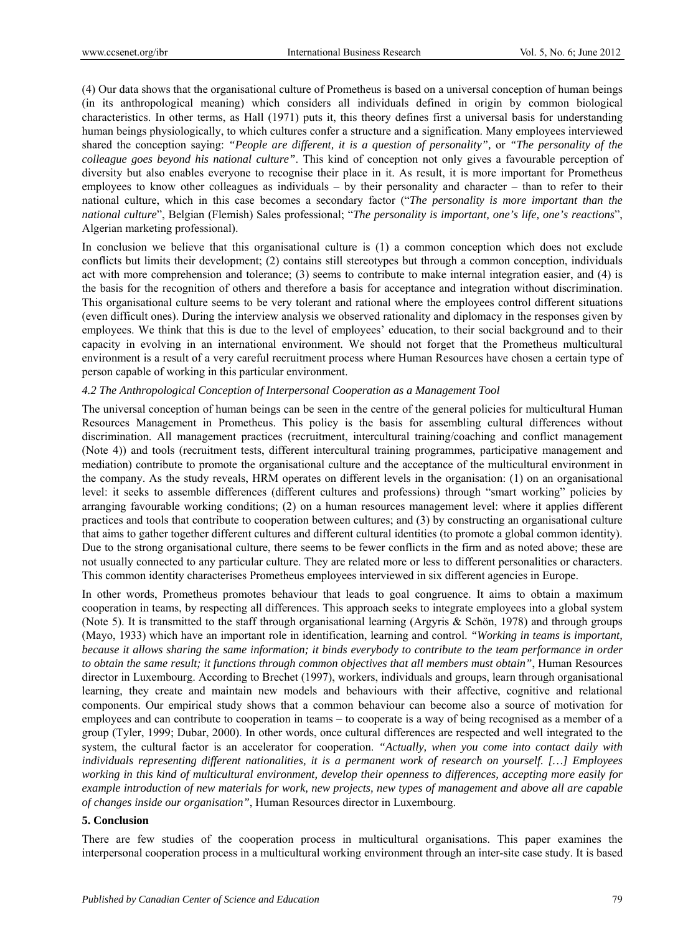(4) Our data shows that the organisational culture of Prometheus is based on a universal conception of human beings (in its anthropological meaning) which considers all individuals defined in origin by common biological characteristics. In other terms, as Hall (1971) puts it, this theory defines first a universal basis for understanding human beings physiologically, to which cultures confer a structure and a signification. Many employees interviewed shared the conception saying: *"People are different, it is a question of personality",* or *"The personality of the colleague goes beyond his national culture"*. This kind of conception not only gives a favourable perception of diversity but also enables everyone to recognise their place in it. As result, it is more important for Prometheus employees to know other colleagues as individuals – by their personality and character – than to refer to their national culture, which in this case becomes a secondary factor ("*The personality is more important than the national culture*", Belgian (Flemish) Sales professional; "*The personality is important, one's life, one's reactions*", Algerian marketing professional).

In conclusion we believe that this organisational culture is (1) a common conception which does not exclude conflicts but limits their development; (2) contains still stereotypes but through a common conception, individuals act with more comprehension and tolerance; (3) seems to contribute to make internal integration easier, and (4) is the basis for the recognition of others and therefore a basis for acceptance and integration without discrimination. This organisational culture seems to be very tolerant and rational where the employees control different situations (even difficult ones). During the interview analysis we observed rationality and diplomacy in the responses given by employees. We think that this is due to the level of employees' education, to their social background and to their capacity in evolving in an international environment. We should not forget that the Prometheus multicultural environment is a result of a very careful recruitment process where Human Resources have chosen a certain type of person capable of working in this particular environment.

## *4.2 The Anthropological Conception of Interpersonal Cooperation as a Management Tool*

The universal conception of human beings can be seen in the centre of the general policies for multicultural Human Resources Management in Prometheus. This policy is the basis for assembling cultural differences without discrimination. All management practices (recruitment, intercultural training/coaching and conflict management (Note 4)) and tools (recruitment tests, different intercultural training programmes, participative management and mediation) contribute to promote the organisational culture and the acceptance of the multicultural environment in the company. As the study reveals, HRM operates on different levels in the organisation: (1) on an organisational level: it seeks to assemble differences (different cultures and professions) through "smart working" policies by arranging favourable working conditions; (2) on a human resources management level: where it applies different practices and tools that contribute to cooperation between cultures; and (3) by constructing an organisational culture that aims to gather together different cultures and different cultural identities (to promote a global common identity). Due to the strong organisational culture, there seems to be fewer conflicts in the firm and as noted above; these are not usually connected to any particular culture. They are related more or less to different personalities or characters. This common identity characterises Prometheus employees interviewed in six different agencies in Europe.

In other words, Prometheus promotes behaviour that leads to goal congruence. It aims to obtain a maximum cooperation in teams, by respecting all differences. This approach seeks to integrate employees into a global system (Note 5). It is transmitted to the staff through organisational learning (Argyris  $\&$  Schön, 1978) and through groups (Mayo, 1933) which have an important role in identification, learning and control. *"Working in teams is important, because it allows sharing the same information; it binds everybody to contribute to the team performance in order to obtain the same result; it functions through common objectives that all members must obtain"*, Human Resources director in Luxembourg. According to Brechet (1997), workers, individuals and groups, learn through organisational learning, they create and maintain new models and behaviours with their affective, cognitive and relational components. Our empirical study shows that a common behaviour can become also a source of motivation for employees and can contribute to cooperation in teams – to cooperate is a way of being recognised as a member of a group (Tyler, 1999; Dubar, 2000). In other words, once cultural differences are respected and well integrated to the system, the cultural factor is an accelerator for cooperation. *"Actually, when you come into contact daily with individuals representing different nationalities, it is a permanent work of research on yourself. […] Employees working in this kind of multicultural environment, develop their openness to differences, accepting more easily for example introduction of new materials for work, new projects, new types of management and above all are capable of changes inside our organisation"*, Human Resources director in Luxembourg.

## **5. Conclusion**

There are few studies of the cooperation process in multicultural organisations. This paper examines the interpersonal cooperation process in a multicultural working environment through an inter-site case study. It is based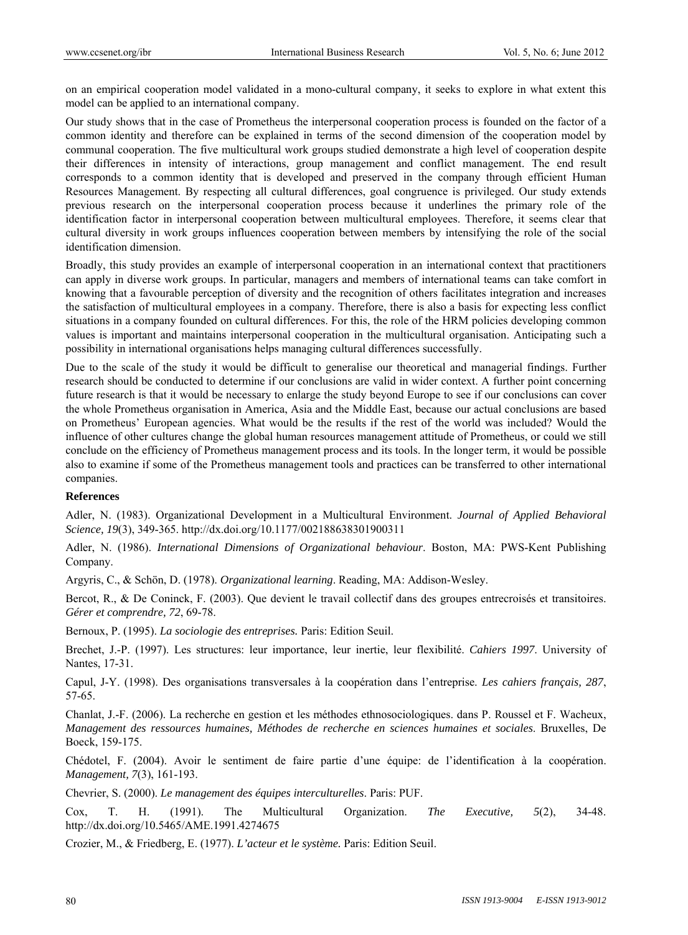on an empirical cooperation model validated in a mono-cultural company, it seeks to explore in what extent this model can be applied to an international company.

Our study shows that in the case of Prometheus the interpersonal cooperation process is founded on the factor of a common identity and therefore can be explained in terms of the second dimension of the cooperation model by communal cooperation. The five multicultural work groups studied demonstrate a high level of cooperation despite their differences in intensity of interactions, group management and conflict management. The end result corresponds to a common identity that is developed and preserved in the company through efficient Human Resources Management. By respecting all cultural differences, goal congruence is privileged. Our study extends previous research on the interpersonal cooperation process because it underlines the primary role of the identification factor in interpersonal cooperation between multicultural employees. Therefore, it seems clear that cultural diversity in work groups influences cooperation between members by intensifying the role of the social identification dimension.

Broadly, this study provides an example of interpersonal cooperation in an international context that practitioners can apply in diverse work groups. In particular, managers and members of international teams can take comfort in knowing that a favourable perception of diversity and the recognition of others facilitates integration and increases the satisfaction of multicultural employees in a company. Therefore, there is also a basis for expecting less conflict situations in a company founded on cultural differences. For this, the role of the HRM policies developing common values is important and maintains interpersonal cooperation in the multicultural organisation. Anticipating such a possibility in international organisations helps managing cultural differences successfully.

Due to the scale of the study it would be difficult to generalise our theoretical and managerial findings. Further research should be conducted to determine if our conclusions are valid in wider context. A further point concerning future research is that it would be necessary to enlarge the study beyond Europe to see if our conclusions can cover the whole Prometheus organisation in America, Asia and the Middle East, because our actual conclusions are based on Prometheus' European agencies. What would be the results if the rest of the world was included? Would the influence of other cultures change the global human resources management attitude of Prometheus, or could we still conclude on the efficiency of Prometheus management process and its tools. In the longer term, it would be possible also to examine if some of the Prometheus management tools and practices can be transferred to other international companies.

#### **References**

Adler, N. (1983). Organizational Development in a Multicultural Environment. *Journal of Applied Behavioral Science, 19*(3), 349-365. http://dx.doi.org/10.1177/002188638301900311

Adler, N. (1986). *International Dimensions of Organizational behaviour*. Boston, MA: PWS-Kent Publishing Company.

Argyris, C., & Schön, D. (1978). *Organizational learning*. Reading, MA: Addison-Wesley.

Bercot, R., & De Coninck, F. (2003). Que devient le travail collectif dans des groupes entrecroisés et transitoires. *Gérer et comprendre, 72*, 69-78.

Bernoux, P. (1995). *La sociologie des entreprises.* Paris: Edition Seuil.

Brechet, J.-P. (1997). Les structures: leur importance, leur inertie, leur flexibilité. *Cahiers 1997*. University of Nantes, 17-31.

Capul, J-Y. (1998). Des organisations transversales à la coopération dans l'entreprise. *Les cahiers français, 287*, 57-65.

Chanlat, J.-F. (2006). La recherche en gestion et les méthodes ethnosociologiques. dans P. Roussel et F. Wacheux, *Management des ressources humaines, Méthodes de recherche en sciences humaines et sociales*. Bruxelles, De Boeck, 159-175.

Chédotel, F. (2004). Avoir le sentiment de faire partie d'une équipe: de l'identification à la coopération. *Management, 7*(3), 161-193.

Chevrier, S. (2000). *Le management des équipes interculturelles*. Paris: PUF.

Cox, T. H. (1991). The Multicultural Organization. *The Executive, 5*(2), 34-48. http://dx.doi.org/10.5465/AME.1991.4274675

Crozier, M., & Friedberg, E. (1977). *L'acteur et le système.* Paris: Edition Seuil.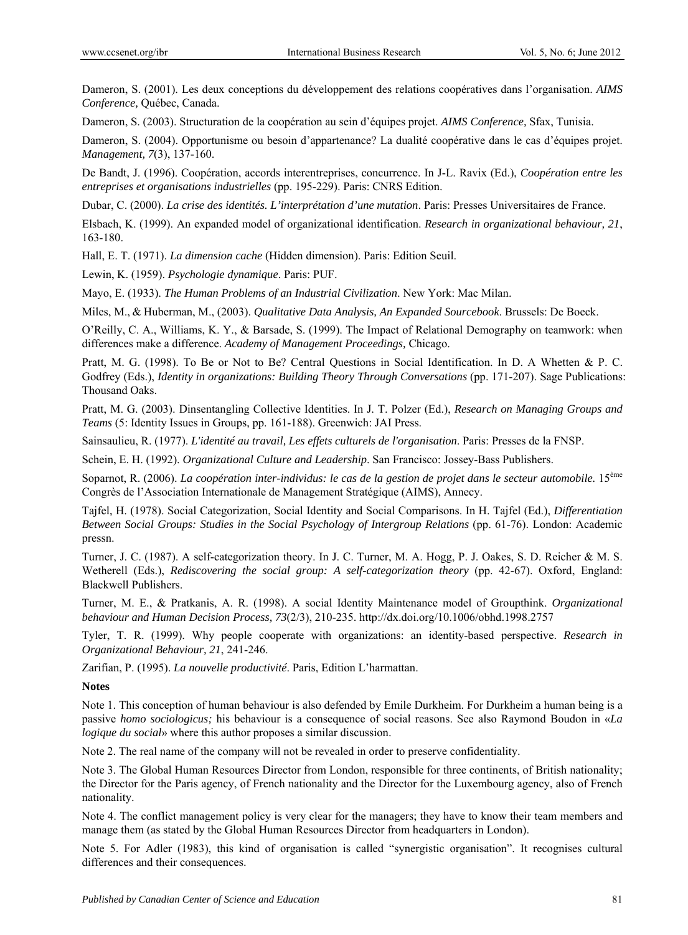Dameron, S. (2001). Les deux conceptions du développement des relations coopératives dans l'organisation. *AIMS Conference,* Québec, Canada.

Dameron, S. (2003). Structuration de la coopération au sein d'équipes projet. *AIMS Conference,* Sfax, Tunisia.

Dameron, S. (2004). Opportunisme ou besoin d'appartenance? La dualité coopérative dans le cas d'équipes projet. *Management, 7*(3), 137-160.

De Bandt, J. (1996). Coopération, accords interentreprises, concurrence. In J-L. Ravix (Ed.), *Coopération entre les entreprises et organisations industrielles* (pp. 195-229). Paris: CNRS Edition.

Dubar, C. (2000). *La crise des identités. L'interprétation d'une mutation*. Paris: Presses Universitaires de France.

Elsbach, K. (1999). An expanded model of organizational identification. *Research in organizational behaviour, 21*, 163-180.

Hall, E. T. (1971). *La dimension cache* (Hidden dimension). Paris: Edition Seuil.

Lewin, K. (1959). *Psychologie dynamique*. Paris: PUF.

Mayo, E. (1933). *The Human Problems of an Industrial Civilization*. New York: Mac Milan.

Miles, M., & Huberman, M., (2003). *Qualitative Data Analysis, An Expanded Sourcebook*. Brussels: De Boeck.

O'Reilly, C. A., Williams, K. Y., & Barsade, S. (1999). The Impact of Relational Demography on teamwork: when differences make a difference. *Academy of Management Proceedings,* Chicago.

Pratt, M. G. (1998). To Be or Not to Be? Central Questions in Social Identification. In D. A Whetten & P. C. Godfrey (Eds.), *Identity in organizations: Building Theory Through Conversations* (pp. 171-207). Sage Publications: Thousand Oaks.

Pratt, M. G. (2003). Dinsentangling Collective Identities. In J. T. Polzer (Ed.), *Research on Managing Groups and Teams* (5: Identity Issues in Groups, pp. 161-188). Greenwich: JAI Press.

Sainsaulieu, R. (1977). *L'identité au travail, Les effets culturels de l'organisation*. Paris: Presses de la FNSP.

Schein, E. H. (1992). *Organizational Culture and Leadership*. San Francisco: Jossey-Bass Publishers.

Soparnot, R. (2006). *La coopération inter-individus: le cas de la gestion de projet dans le secteur automobile.* 15ème Congrès de l'Association Internationale de Management Stratégique (AIMS), Annecy.

Tajfel, H. (1978). Social Categorization, Social Identity and Social Comparisons. In H. Tajfel (Ed.), *Differentiation Between Social Groups: Studies in the Social Psychology of Intergroup Relations (pp. 61-76). London: Academic* pressn.

Turner, J. C. (1987). A self-categorization theory. In J. C. Turner, M. A. Hogg, P. J. Oakes, S. D. Reicher & M. S. Wetherell (Eds.), *Rediscovering the social group: A self-categorization theory* (pp. 42-67). Oxford, England: Blackwell Publishers.

Turner, M. E., & Pratkanis, A. R. (1998). A social Identity Maintenance model of Groupthink. *Organizational behaviour and Human Decision Process, 73*(2/3), 210-235. http://dx.doi.org/10.1006/obhd.1998.2757

Tyler, T. R. (1999). Why people cooperate with organizations: an identity-based perspective. *Research in Organizational Behaviour, 21*, 241-246.

Zarifian, P. (1995). *La nouvelle productivité*. Paris, Edition L'harmattan.

#### **Notes**

Note 1. This conception of human behaviour is also defended by Emile Durkheim. For Durkheim a human being is a passive *homo sociologicus;* his behaviour is a consequence of social reasons. See also Raymond Boudon in «*La logique du social*» where this author proposes a similar discussion.

Note 2. The real name of the company will not be revealed in order to preserve confidentiality.

Note 3. The Global Human Resources Director from London, responsible for three continents, of British nationality; the Director for the Paris agency, of French nationality and the Director for the Luxembourg agency, also of French nationality.

Note 4. The conflict management policy is very clear for the managers; they have to know their team members and manage them (as stated by the Global Human Resources Director from headquarters in London).

Note 5. For Adler (1983), this kind of organisation is called "synergistic organisation". It recognises cultural differences and their consequences.